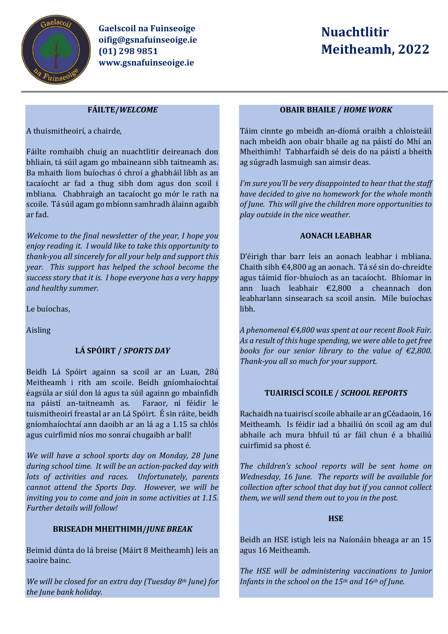

**Gaelscoil na Fuinseoige oifig@gsnafuinseoige.ie (01) 298 9851 www.gsnafuinseoige.ie**

# **Nuachtlitir Meitheamh, 2022**

## **FÁILTE/***WELCOME*

A thuismitheoirí, a chairde,

Fáilte romhaibh chuig an nuachtlitir deireanach don bhliain, tá súil agam go mbaineann sibh taitneamh as. Ba mhaith liom buíochas ó chroí a ghabháil libh as an tacaíocht ar fad a thug sibh dom agus don scoil i mbliana. Chabhraigh an tacaíocht go mór le rath na scoile. Tá súil agam go mbíonn samhradh álainn agaibh ar fad.

*Welcome to the final newsletter of the year, I hope you enjoy reading it. I would like to take this opportunity to thank-you all sincerely for all your help and support this year. This support has helped the school become the success story that it is. I hope everyone has a very happy and healthy summer.*

Le buíochas,

Aisling

# **LÁ SPÓIRT /** *SPORTS DAY*

Beidh Lá Spóirt againn sa scoil ar an Luan, 28ú Meitheamh i rith am scoile. Beidh gníomhaíochtaí éagsúla ar siúl don lá agus ta súil againn go mbainfidh na páistí an-taitneamh as. Faraor, ní féidir le tuismitheoirí freastal ar an Lá Spóirt. É sin ráite, beidh gníomhaíochtaí ann daoibh ar an lá ag a 1.15 sa chlós agus cuirfimid níos mo sonraí chugaibh ar ball!

*We will have a school sports day on Monday, 28 June during school time. It will be an action-packed day with lots of activities and races. Unfortunately, parents cannot attend the Sports Day. However, we will be inviting you to come and join in some activities at 1.15. Further details will follow!*

# **BRISEADH MHEITHIMH/***JUNE BREAK*

Beimid dúnta do lá breise (Máirt 8 Meitheamh) leis an saoire bainc.

*We will be closed for an extra day (Tuesday 8th June) for the June bank holiday.* 

## **OBAIR BHAILE /** *HOME WORK*

Táim cinnte go mbeidh an-díomá oraibh a chloisteáil nach mbeidh aon obair bhaile ag na páistí do Mhí an Mheithimh! Tabharfaidh sé deis do na páistí a bheith ag súgradh lasmuigh san aimsir deas.

*I'm sure you'll be very disappointed to hear that the staff have decided to give no homework for the whole month of June. This will give the children more opportunities to play outside in the nice weather.* 

## **AONACH LEABHAR**

D'éirigh thar barr leis an aonach leabhar i mbliana. Chaith sibh €4,800 ag an aonach. Tá sé sin do-chreidte agus táimid fíor-bhuíoch as an tacaíocht. Bhíomar in ann luach leabhair €2,800 a cheannach don leabharlann sinsearach sa scoil ansin. Míle buíochas libh.

*A phenomenal €4,800 was spent at our recent Book Fair. As a result of this huge spending, we were able to get free books for our senior library to the value of €2,800. Thank-you all so much for your support.* 

# **TUAIRISCÍ SCOILE /** *SCHOOL REPORTS*

Rachaidh na tuairiscí scoile abhaile ar an gCéadaoin, 16 Meitheamh. Is féidir iad a bhailiú ón scoil ag am dul abhaile ach mura bhfuil tú ar fáil chun é a bhailiú cuirfimid sa phost é.

*The children's school reports will be sent home on Wednesday, 16 June. The reports will be available for collection after school that day but if you cannot collect them, we will send them out to you in the post.* 

## **HSE**

Beidh an HSE istigh leis na Naíonáin bheaga ar an 15 agus 16 Meitheamh.

*The HSE will be administering vaccinations to Junior Infants in the school on the 15th and 16th of June.*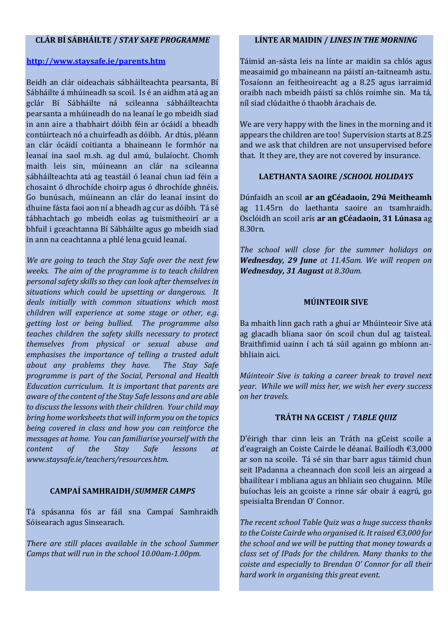#### **CLÁR BÍ SÁBHÁILTE /** *STAY SAFE PROGRAMME*

#### **<http://www.staysafe.ie/parents.htm>**

Beidh an clár oideachais sábháilteachta pearsanta, Bí Sábháilte á mhúineadh sa scoil. Is é an aidhm atá ag an gclár Bí Sábháilte ná scileanna sábháilteachta pearsanta a mhúineadh do na leanaí le go mbeidh siad in ann aire a thabhairt dóibh féin ar ócáidí a bheadh contúirteach nó a chuirfeadh as dóibh. Ar dtús, pléann an clár ócáidí coitianta a bhaineann le formhór na leanaí ina saol m.sh. ag dul amú, bulaíocht. Chomh maith leis sin, múineann an clár na scileanna sábháilteachta atá ag teastáil ó leanaí chun iad féin a chosaint ó dhrochíde choirp agus ó dhrochíde ghnéis. Go bunúsach, múineann an clár do leanaí insint do dhuine fásta faoi aon ní a bheadh ag cur as dóibh. Tá sé tábhachtach go mbeidh eolas ag tuismitheoirí ar a bhfuil i gceachtanna Bí Sábháilte agus go mbeidh siad in ann na ceachtanna a phlé lena gcuid leanaí.

*We are going to teach the Stay Safe over the next few weeks. The aim of the programme is to teach children personal safety skills so they can look after themselves in situations which could be upsetting or dangerous. It deals initially with common situations which most children will experience at some stage or other, e.g. getting lost or being bullied. The programme also teaches children the safety skills necessary to protect themselves from physical or sexual abuse and emphasises the importance of telling a trusted adult about any problems they have. The Stay Safe programme is part of the Social, Personal and Health Education curriculum. It is important that parents are aware of the content of the Stay Safe lessons and are able to discuss the lessons with their children. Your child may bring home worksheets that will inform you on the topics being covered in class and how you can reinforce the messages at home. You can familiarise yourself with the content of the Stay Safe lessons at www.staysafe.ie/teachers/resources.htm.* 

#### **CAMPAÍ SAMHRAIDH/***SUMMER CAMPS*

Tá spásanna fós ar fáil sna Campaí Samhraidh Sóisearach agus Sinsearach.

*There are still places available in the school Summer Camps that will run in the school 10.00am-1.00pm.* 

#### **LÍNTE AR MAIDIN /** *LINES IN THE MORNING*

Táimid an-sásta leis na línte ar maidin sa chlós agus measaimid go mbaineann na páistí an-taitneamh astu. Tosaíonn an feitheoireacht ag a 8.25 agus iarraimid oraibh nach mbeidh páistí sa chlós roimhe sin. Ma tá, níl siad clúdaithe ó thaobh árachais de.

We are very happy with the lines in the morning and it appears the children are too! Supervision starts at 8.25 and we ask that children are not unsupervised before that. It they are, they are not covered by insurance.

## **LAETHANTA SAOIRE /***SCHOOL HOLIDAYS*

Dúnfaidh an scoil **ar an gCéadaoin, 29ú Meitheamh** ag 11.45rn do laethanta saoire an tsamhraidh. Osclóidh an scoil arís **ar an gCéadaoin, 31 Lúnasa** ag 8.30rn.

*The school will close for the summer holidays on Wednesday, 29 June at 11.45am. We will reopen on Wednesday, 31 August at 8.30am.*

## **MÚINTEOIR SIVE**

Ba mhaith linn gach rath a ghuí ar Mhúinteoir Sive atá ag glacadh bliana saor ón scoil chun dul ag taisteal. Braithfimid uainn í ach tá súil againn go mbíonn anbhliain aici.

*Múinteoir Sive is taking a career break to travel next year. While we will miss her, we wish her every success on her travels.* 

#### **TRÁTH NA GCEIST /** *TABLE QUIZ*

D'éirigh thar cinn leis an Tráth na gCeist scoile a d'eagraigh an Coiste Cairde le déanaí. Bailíodh €3,000 ar son na scoile. Tá sé sin thar barr agus táimid chun seit IPadanna a cheannach don scoil leis an airgead a bhailítear i mbliana agus an bhliain seo chugainn. Míle buíochas leis an gcoiste a rinne sár obair á eagrú, go speisialta Brendan O' Connor.

*The recent school Table Quiz was a huge success thanks to the Coiste Cairde who organised it. It raised €3,000 for the school and we will be putting that money towards a class set of IPads for the children. Many thanks to the coiste and especially to Brendan O' Connor for all their hard work in organising this great event.*